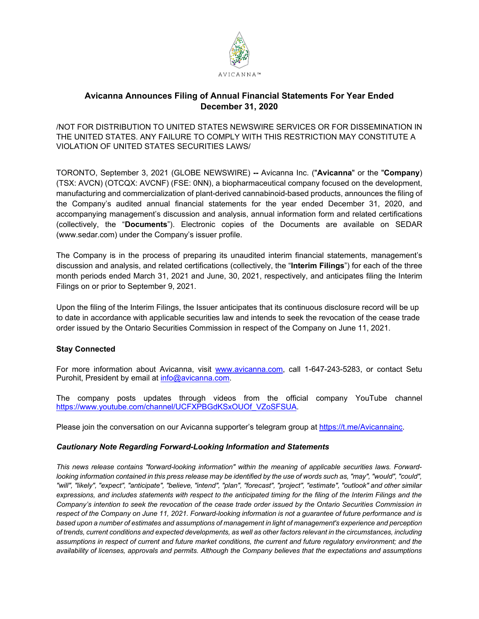

## **Avicanna Announces Filing of Annual Financial Statements For Year Ended December 31, 2020**

/NOT FOR DISTRIBUTION TO UNITED STATES NEWSWIRE SERVICES OR FOR DISSEMINATION IN THE UNITED STATES. ANY FAILURE TO COMPLY WITH THIS RESTRICTION MAY CONSTITUTE A VIOLATION OF UNITED STATES SECURITIES LAWS/

TORONTO, September 3, 2021 (GLOBE NEWSWIRE) **--** Avicanna Inc. ("**Avicanna**" or the "**Company**) (TSX: AVCN) (OTCQX: AVCNF) (FSE: 0NN), a biopharmaceutical company focused on the development, manufacturing and commercialization of plant-derived cannabinoid-based products, announces the filing of the Company's audited annual financial statements for the year ended December 31, 2020, and accompanying management's discussion and analysis, annual information form and related certifications (collectively, the "**Documents**"). Electronic copies of the Documents are available on SEDAR (www.sedar.com) under the Company's issuer profile.

The Company is in the process of preparing its unaudited interim financial statements, management's discussion and analysis, and related certifications (collectively, the "**Interim Filings**") for each of the three month periods ended March 31, 2021 and June, 30, 2021, respectively, and anticipates filing the Interim Filings on or prior to September 9, 2021.

Upon the filing of the Interim Filings, the Issuer anticipates that its continuous disclosure record will be up to date in accordance with applicable securities law and intends to seek the revocation of the cease trade order issued by the Ontario Securities Commission in respect of the Company on June 11, 2021.

## **Stay Connected**

For more information about Avicanna, visit [www.avicanna.com,](http://www.avicanna.com/) call 1-647-243-5283, or contact Setu Purohit, President by email at [info@avicanna.com.](mailto:info@avicanna.com)

The company posts updates through videos from the official company YouTube channel [https://www.youtube.com/channel/UCFXPBGdKSxOUOf\\_VZoSFSUA.](https://www.youtube.com/channel/UCFXPBGdKSxOUOf_VZoSFSUA)

Please join the conversation on our Avicanna supporter's telegram group at [https://t.me/Avicannainc.](https://t.me/Avicannainc)

## *Cautionary Note Regarding Forward-Looking Information and Statements*

*This news release contains "forward-looking information" within the meaning of applicable securities laws. Forward*looking information contained in this press release may be identified by the use of words such as, "may", "would", "could", *"will", "likely", "expect", "anticipate", "believe, "intend", "plan", "forecast", "project", "estimate", "outlook" and other similar expressions, and includes statements with respect to the anticipated timing for the filing of the Interim Filings and the Company's intention to seek the revocation of the cease trade order issued by the Ontario Securities Commission in respect of the Company on June 11, 2021. Forward-looking information is not a guarantee of future performance and is based upon a number of estimates and assumptions of management in light of management's experience and perception of trends, current conditions and expected developments, as well as other factors relevant in the circumstances, including assumptions in respect of current and future market conditions, the current and future regulatory environment; and the availability of licenses, approvals and permits. Although the Company believes that the expectations and assumptions*